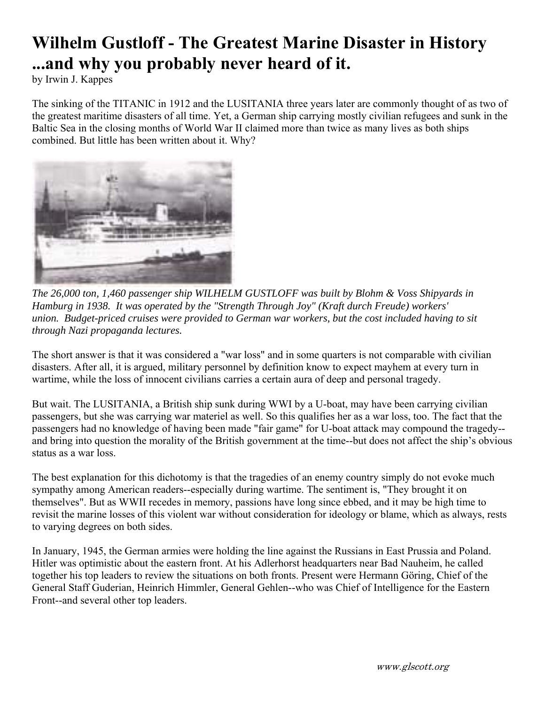## **Wilhelm Gustloff - The Greatest Marine Disaster in History ...and why you probably never heard of it.**

by Irwin J. Kappes

The sinking of the TITANIC in 1912 and the LUSITANIA three years later are commonly thought of as two of the greatest maritime disasters of all time. Yet, a German ship carrying mostly civilian refugees and sunk in the Baltic Sea in the closing months of World War II claimed more than twice as many lives as both ships combined. But little has been written about it. Why?



*The 26,000 ton, 1,460 passenger ship WILHELM GUSTLOFF was built by Blohm & Voss Shipyards in Hamburg in 1938. It was operated by the "Strength Through Joy" (Kraft durch Freude) workers' union. Budget-priced cruises were provided to German war workers, but the cost included having to sit through Nazi propaganda lectures.*

The short answer is that it was considered a "war loss" and in some quarters is not comparable with civilian disasters. After all, it is argued, military personnel by definition know to expect mayhem at every turn in wartime, while the loss of innocent civilians carries a certain aura of deep and personal tragedy.

But wait. The LUSITANIA, a British ship sunk during WWI by a U-boat, may have been carrying civilian passengers, but she was carrying war materiel as well. So this qualifies her as a war loss, too. The fact that the passengers had no knowledge of having been made "fair game" for U-boat attack may compound the tragedy- and bring into question the morality of the British government at the time--but does not affect the ship's obvious status as a war loss.

The best explanation for this dichotomy is that the tragedies of an enemy country simply do not evoke much sympathy among American readers--especially during wartime. The sentiment is, "They brought it on themselves". But as WWII recedes in memory, passions have long since ebbed, and it may be high time to revisit the marine losses of this violent war without consideration for ideology or blame, which as always, rests to varying degrees on both sides.

In January, 1945, the German armies were holding the line against the Russians in East Prussia and Poland. Hitler was optimistic about the eastern front. At his Adlerhorst headquarters near Bad Nauheim, he called together his top leaders to review the situations on both fronts. Present were Hermann Göring, Chief of the General Staff Guderian, Heinrich Himmler, General Gehlen--who was Chief of Intelligence for the Eastern Front--and several other top leaders.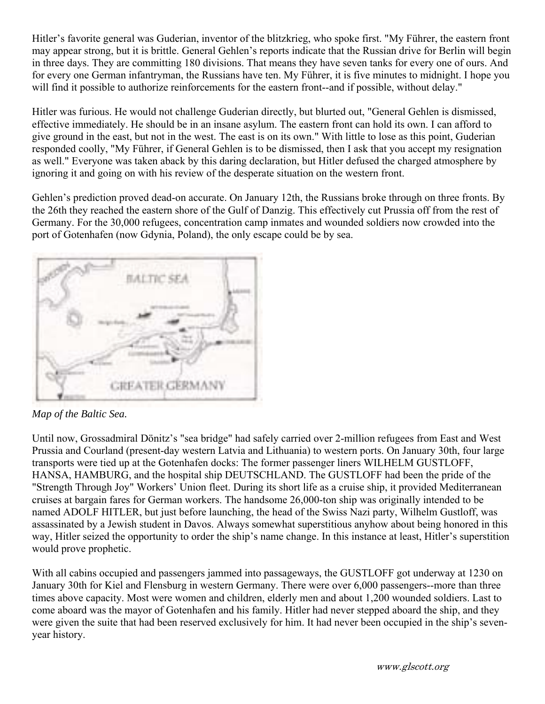Hitler's favorite general was Guderian, inventor of the blitzkrieg, who spoke first. "My Führer, the eastern front may appear strong, but it is brittle. General Gehlen's reports indicate that the Russian drive for Berlin will begin in three days. They are committing 180 divisions. That means they have seven tanks for every one of ours. And for every one German infantryman, the Russians have ten. My Führer, it is five minutes to midnight. I hope you will find it possible to authorize reinforcements for the eastern front--and if possible, without delay."

Hitler was furious. He would not challenge Guderian directly, but blurted out, "General Gehlen is dismissed, effective immediately. He should be in an insane asylum. The eastern front can hold its own. I can afford to give ground in the east, but not in the west. The east is on its own." With little to lose as this point, Guderian responded coolly, "My Führer, if General Gehlen is to be dismissed, then I ask that you accept my resignation as well." Everyone was taken aback by this daring declaration, but Hitler defused the charged atmosphere by ignoring it and going on with his review of the desperate situation on the western front.

Gehlen's prediction proved dead-on accurate. On January 12th, the Russians broke through on three fronts. By the 26th they reached the eastern shore of the Gulf of Danzig. This effectively cut Prussia off from the rest of Germany. For the 30,000 refugees, concentration camp inmates and wounded soldiers now crowded into the port of Gotenhafen (now Gdynia, Poland), the only escape could be by sea.



*Map of the Baltic Sea.*

Until now, Grossadmiral Dönitz's "sea bridge" had safely carried over 2-million refugees from East and West Prussia and Courland (present-day western Latvia and Lithuania) to western ports. On January 30th, four large transports were tied up at the Gotenhafen docks: The former passenger liners WILHELM GUSTLOFF, HANSA, HAMBURG, and the hospital ship DEUTSCHLAND. The GUSTLOFF had been the pride of the "Strength Through Joy" Workers' Union fleet. During its short life as a cruise ship, it provided Mediterranean cruises at bargain fares for German workers. The handsome 26,000-ton ship was originally intended to be named ADOLF HITLER, but just before launching, the head of the Swiss Nazi party, Wilhelm Gustloff, was assassinated by a Jewish student in Davos. Always somewhat superstitious anyhow about being honored in this way, Hitler seized the opportunity to order the ship's name change. In this instance at least, Hitler's superstition would prove prophetic.

With all cabins occupied and passengers jammed into passageways, the GUSTLOFF got underway at 1230 on January 30th for Kiel and Flensburg in western Germany. There were over 6,000 passengers--more than three times above capacity. Most were women and children, elderly men and about 1,200 wounded soldiers. Last to come aboard was the mayor of Gotenhafen and his family. Hitler had never stepped aboard the ship, and they were given the suite that had been reserved exclusively for him. It had never been occupied in the ship's sevenyear history.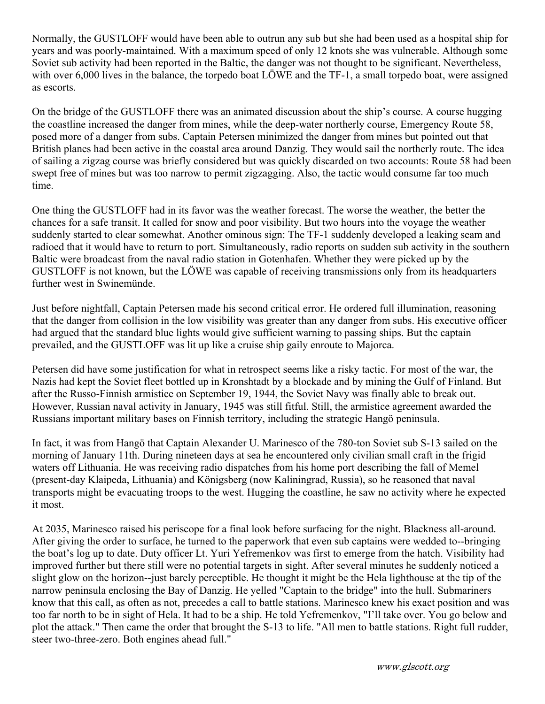Normally, the GUSTLOFF would have been able to outrun any sub but she had been used as a hospital ship for years and was poorly-maintained. With a maximum speed of only 12 knots she was vulnerable. Although some Soviet sub activity had been reported in the Baltic, the danger was not thought to be significant. Nevertheless, with over 6,000 lives in the balance, the torpedo boat LÖWE and the TF-1, a small torpedo boat, were assigned as escorts.

On the bridge of the GUSTLOFF there was an animated discussion about the ship's course. A course hugging the coastline increased the danger from mines, while the deep-water northerly course, Emergency Route 58, posed more of a danger from subs. Captain Petersen minimized the danger from mines but pointed out that British planes had been active in the coastal area around Danzig. They would sail the northerly route. The idea of sailing a zigzag course was briefly considered but was quickly discarded on two accounts: Route 58 had been swept free of mines but was too narrow to permit zigzagging. Also, the tactic would consume far too much time.

One thing the GUSTLOFF had in its favor was the weather forecast. The worse the weather, the better the chances for a safe transit. It called for snow and poor visibility. But two hours into the voyage the weather suddenly started to clear somewhat. Another ominous sign: The TF-1 suddenly developed a leaking seam and radioed that it would have to return to port. Simultaneously, radio reports on sudden sub activity in the southern Baltic were broadcast from the naval radio station in Gotenhafen. Whether they were picked up by the GUSTLOFF is not known, but the LÖWE was capable of receiving transmissions only from its headquarters further west in Swinemünde.

Just before nightfall, Captain Petersen made his second critical error. He ordered full illumination, reasoning that the danger from collision in the low visibility was greater than any danger from subs. His executive officer had argued that the standard blue lights would give sufficient warning to passing ships. But the captain prevailed, and the GUSTLOFF was lit up like a cruise ship gaily enroute to Majorca.

Petersen did have some justification for what in retrospect seems like a risky tactic. For most of the war, the Nazis had kept the Soviet fleet bottled up in Kronshtadt by a blockade and by mining the Gulf of Finland. But after the Russo-Finnish armistice on September 19, 1944, the Soviet Navy was finally able to break out. However, Russian naval activity in January, 1945 was still fitful. Still, the armistice agreement awarded the Russians important military bases on Finnish territory, including the strategic Hangö peninsula.

In fact, it was from Hangö that Captain Alexander U. Marinesco of the 780-ton Soviet sub S-13 sailed on the morning of January 11th. During nineteen days at sea he encountered only civilian small craft in the frigid waters off Lithuania. He was receiving radio dispatches from his home port describing the fall of Memel (present-day Klaipeda, Lithuania) and Königsberg (now Kaliningrad, Russia), so he reasoned that naval transports might be evacuating troops to the west. Hugging the coastline, he saw no activity where he expected it most.

At 2035, Marinesco raised his periscope for a final look before surfacing for the night. Blackness all-around. After giving the order to surface, he turned to the paperwork that even sub captains were wedded to--bringing the boat's log up to date. Duty officer Lt. Yuri Yefremenkov was first to emerge from the hatch. Visibility had improved further but there still were no potential targets in sight. After several minutes he suddenly noticed a slight glow on the horizon--just barely perceptible. He thought it might be the Hela lighthouse at the tip of the narrow peninsula enclosing the Bay of Danzig. He yelled "Captain to the bridge" into the hull. Submariners know that this call, as often as not, precedes a call to battle stations. Marinesco knew his exact position and was too far north to be in sight of Hela. It had to be a ship. He told Yefremenkov, "I'll take over. You go below and plot the attack." Then came the order that brought the S-13 to life. "All men to battle stations. Right full rudder, steer two-three-zero. Both engines ahead full."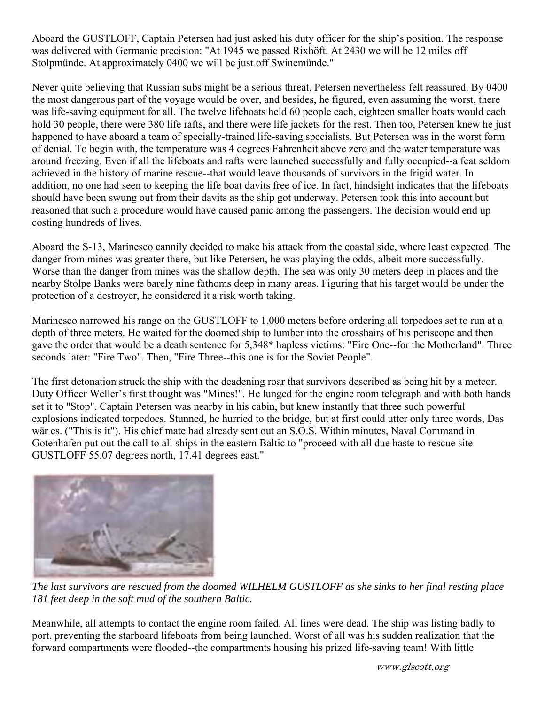Aboard the GUSTLOFF, Captain Petersen had just asked his duty officer for the ship's position. The response was delivered with Germanic precision: "At 1945 we passed Rixhöft. At 2430 we will be 12 miles off Stolpmünde. At approximately 0400 we will be just off Swinemünde."

Never quite believing that Russian subs might be a serious threat, Petersen nevertheless felt reassured. By 0400 the most dangerous part of the voyage would be over, and besides, he figured, even assuming the worst, there was life-saving equipment for all. The twelve lifeboats held 60 people each, eighteen smaller boats would each hold 30 people, there were 380 life rafts, and there were life jackets for the rest. Then too, Petersen knew he just happened to have aboard a team of specially-trained life-saving specialists. But Petersen was in the worst form of denial. To begin with, the temperature was 4 degrees Fahrenheit above zero and the water temperature was around freezing. Even if all the lifeboats and rafts were launched successfully and fully occupied--a feat seldom achieved in the history of marine rescue--that would leave thousands of survivors in the frigid water. In addition, no one had seen to keeping the life boat davits free of ice. In fact, hindsight indicates that the lifeboats should have been swung out from their davits as the ship got underway. Petersen took this into account but reasoned that such a procedure would have caused panic among the passengers. The decision would end up costing hundreds of lives.

Aboard the S-13, Marinesco cannily decided to make his attack from the coastal side, where least expected. The danger from mines was greater there, but like Petersen, he was playing the odds, albeit more successfully. Worse than the danger from mines was the shallow depth. The sea was only 30 meters deep in places and the nearby Stolpe Banks were barely nine fathoms deep in many areas. Figuring that his target would be under the protection of a destroyer, he considered it a risk worth taking.

Marinesco narrowed his range on the GUSTLOFF to 1,000 meters before ordering all torpedoes set to run at a depth of three meters. He waited for the doomed ship to lumber into the crosshairs of his periscope and then gave the order that would be a death sentence for 5,348\* hapless victims: "Fire One--for the Motherland". Three seconds later: "Fire Two". Then, "Fire Three--this one is for the Soviet People".

The first detonation struck the ship with the deadening roar that survivors described as being hit by a meteor. Duty Officer Weller's first thought was "Mines!". He lunged for the engine room telegraph and with both hands set it to "Stop". Captain Petersen was nearby in his cabin, but knew instantly that three such powerful explosions indicated torpedoes. Stunned, he hurried to the bridge, but at first could utter only three words, Das wär es. ("This is it"). His chief mate had already sent out an S.O.S. Within minutes, Naval Command in Gotenhafen put out the call to all ships in the eastern Baltic to "proceed with all due haste to rescue site GUSTLOFF 55.07 degrees north, 17.41 degrees east."



*The last survivors are rescued from the doomed WILHELM GUSTLOFF as she sinks to her final resting place 181 feet deep in the soft mud of the southern Baltic.* 

Meanwhile, all attempts to contact the engine room failed. All lines were dead. The ship was listing badly to port, preventing the starboard lifeboats from being launched. Worst of all was his sudden realization that the forward compartments were flooded--the compartments housing his prized life-saving team! With little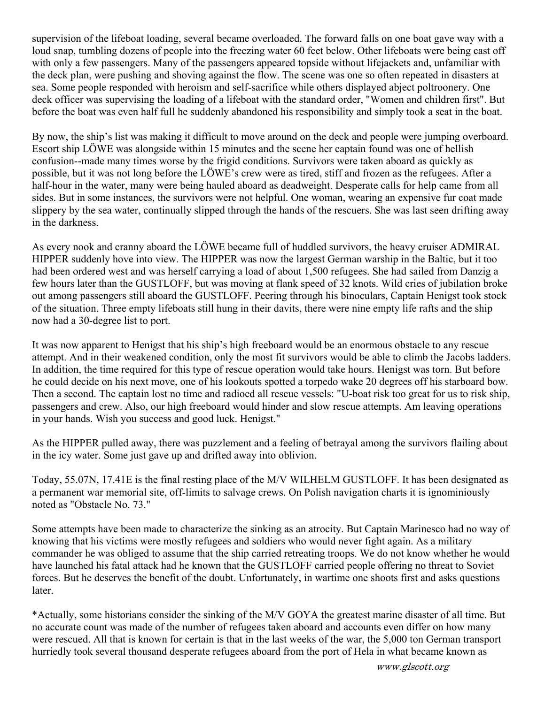supervision of the lifeboat loading, several became overloaded. The forward falls on one boat gave way with a loud snap, tumbling dozens of people into the freezing water 60 feet below. Other lifeboats were being cast off with only a few passengers. Many of the passengers appeared topside without lifejackets and, unfamiliar with the deck plan, were pushing and shoving against the flow. The scene was one so often repeated in disasters at sea. Some people responded with heroism and self-sacrifice while others displayed abject poltroonery. One deck officer was supervising the loading of a lifeboat with the standard order, "Women and children first". But before the boat was even half full he suddenly abandoned his responsibility and simply took a seat in the boat.

By now, the ship's list was making it difficult to move around on the deck and people were jumping overboard. Escort ship LÖWE was alongside within 15 minutes and the scene her captain found was one of hellish confusion--made many times worse by the frigid conditions. Survivors were taken aboard as quickly as possible, but it was not long before the LÖWE's crew were as tired, stiff and frozen as the refugees. After a half-hour in the water, many were being hauled aboard as deadweight. Desperate calls for help came from all sides. But in some instances, the survivors were not helpful. One woman, wearing an expensive fur coat made slippery by the sea water, continually slipped through the hands of the rescuers. She was last seen drifting away in the darkness.

As every nook and cranny aboard the LÖWE became full of huddled survivors, the heavy cruiser ADMIRAL HIPPER suddenly hove into view. The HIPPER was now the largest German warship in the Baltic, but it too had been ordered west and was herself carrying a load of about 1,500 refugees. She had sailed from Danzig a few hours later than the GUSTLOFF, but was moving at flank speed of 32 knots. Wild cries of jubilation broke out among passengers still aboard the GUSTLOFF. Peering through his binoculars, Captain Henigst took stock of the situation. Three empty lifeboats still hung in their davits, there were nine empty life rafts and the ship now had a 30-degree list to port.

It was now apparent to Henigst that his ship's high freeboard would be an enormous obstacle to any rescue attempt. And in their weakened condition, only the most fit survivors would be able to climb the Jacobs ladders. In addition, the time required for this type of rescue operation would take hours. Henigst was torn. But before he could decide on his next move, one of his lookouts spotted a torpedo wake 20 degrees off his starboard bow. Then a second. The captain lost no time and radioed all rescue vessels: "U-boat risk too great for us to risk ship, passengers and crew. Also, our high freeboard would hinder and slow rescue attempts. Am leaving operations in your hands. Wish you success and good luck. Henigst."

As the HIPPER pulled away, there was puzzlement and a feeling of betrayal among the survivors flailing about in the icy water. Some just gave up and drifted away into oblivion.

Today, 55.07N, 17.41E is the final resting place of the M/V WILHELM GUSTLOFF. It has been designated as a permanent war memorial site, off-limits to salvage crews. On Polish navigation charts it is ignominiously noted as "Obstacle No. 73."

Some attempts have been made to characterize the sinking as an atrocity. But Captain Marinesco had no way of knowing that his victims were mostly refugees and soldiers who would never fight again. As a military commander he was obliged to assume that the ship carried retreating troops. We do not know whether he would have launched his fatal attack had he known that the GUSTLOFF carried people offering no threat to Soviet forces. But he deserves the benefit of the doubt. Unfortunately, in wartime one shoots first and asks questions later.

\*Actually, some historians consider the sinking of the M/V GOYA the greatest marine disaster of all time. But no accurate count was made of the number of refugees taken aboard and accounts even differ on how many were rescued. All that is known for certain is that in the last weeks of the war, the 5,000 ton German transport hurriedly took several thousand desperate refugees aboard from the port of Hela in what became known as